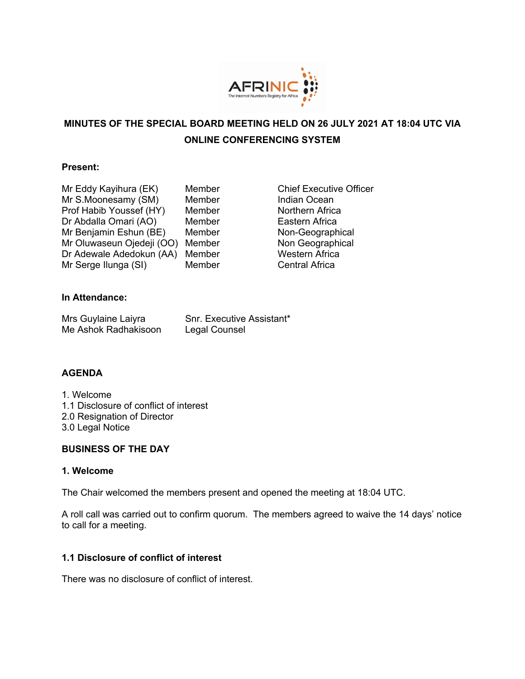

# **MINUTES OF THE SPECIAL BOARD MEETING HELD ON 26 JULY 2021 AT 18:04 UTC VIA ONLINE CONFERENCING SYSTEM**

#### **Present:**

- Mr Eddy Kayihura (EK) Member Chief Executive Officer Mr S.Moonesamy (SM) Member Member Indian Ocean<br>
Prof Habib Youssef (HY) Member Northern Afric Prof Habib Youssef (HY) Member Northern Africa Dr Abdalla Omari (AO) Member Eastern Africa Mr Benjamin Eshun (BE) Member Non-Geographical Mr Oluwaseun Ojedeji (OO) Member Non Geographical Dr Adewale Adedokun (AA) Member Western Africa Mr Serge Ilunga (SI) Member Central Africa
	-

## **In Attendance:**

| Mrs Guylaine Laiyra  | Snr. Executive Assistant* |
|----------------------|---------------------------|
| Me Ashok Radhakisoon | Legal Counsel             |

## **AGENDA**

- 1. Welcome 1.1 Disclosure of conflict of interest 2.0 Resignation of Director
- 3.0 Legal Notice

## **BUSINESS OF THE DAY**

#### **1. Welcome**

The Chair welcomed the members present and opened the meeting at 18:04 UTC.

A roll call was carried out to confirm quorum. The members agreed to waive the 14 days' notice to call for a meeting.

## **1.1 Disclosure of conflict of interest**

There was no disclosure of conflict of interest.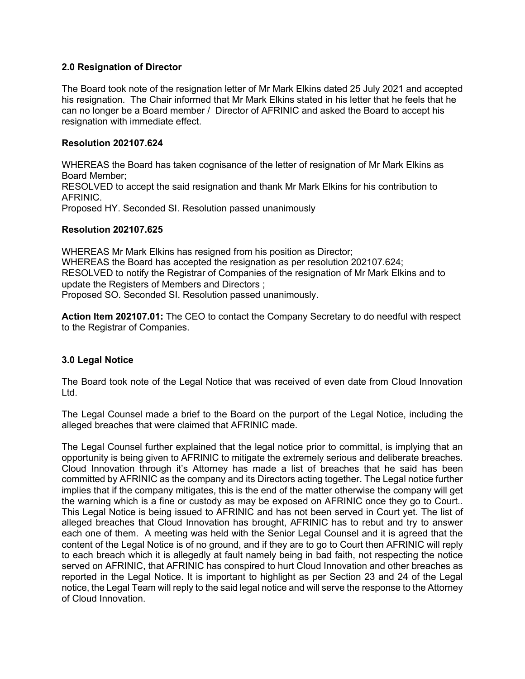#### **2.0 Resignation of Director**

The Board took note of the resignation letter of Mr Mark Elkins dated 25 July 2021 and accepted his resignation. The Chair informed that Mr Mark Elkins stated in his letter that he feels that he can no longer be a Board member / Director of AFRINIC and asked the Board to accept his resignation with immediate effect.

#### **Resolution 202107.624**

WHEREAS the Board has taken cognisance of the letter of resignation of Mr Mark Elkins as Board Member; RESOLVED to accept the said resignation and thank Mr Mark Elkins for his contribution to AFRINIC. Proposed HY. Seconded SI. Resolution passed unanimously

#### **Resolution 202107.625**

WHEREAS Mr Mark Elkins has resigned from his position as Director; WHEREAS the Board has accepted the resignation as per resolution 202107.624; RESOLVED to notify the Registrar of Companies of the resignation of Mr Mark Elkins and to update the Registers of Members and Directors ; Proposed SO. Seconded SI. Resolution passed unanimously.

**Action Item 202107.01:** The CEO to contact the Company Secretary to do needful with respect to the Registrar of Companies.

## **3.0 Legal Notice**

The Board took note of the Legal Notice that was received of even date from Cloud Innovation Ltd.

The Legal Counsel made a brief to the Board on the purport of the Legal Notice, including the alleged breaches that were claimed that AFRINIC made.

The Legal Counsel further explained that the legal notice prior to committal, is implying that an opportunity is being given to AFRINIC to mitigate the extremely serious and deliberate breaches. Cloud Innovation through it's Attorney has made a list of breaches that he said has been committed by AFRINIC as the company and its Directors acting together. The Legal notice further implies that if the company mitigates, this is the end of the matter otherwise the company will get the warning which is a fine or custody as may be exposed on AFRINIC once they go to Court.. This Legal Notice is being issued to AFRINIC and has not been served in Court yet. The list of alleged breaches that Cloud Innovation has brought, AFRINIC has to rebut and try to answer each one of them. A meeting was held with the Senior Legal Counsel and it is agreed that the content of the Legal Notice is of no ground, and if they are to go to Court then AFRINIC will reply to each breach which it is allegedly at fault namely being in bad faith, not respecting the notice served on AFRINIC, that AFRINIC has conspired to hurt Cloud Innovation and other breaches as reported in the Legal Notice. It is important to highlight as per Section 23 and 24 of the Legal notice, the Legal Team will reply to the said legal notice and will serve the response to the Attorney of Cloud Innovation.